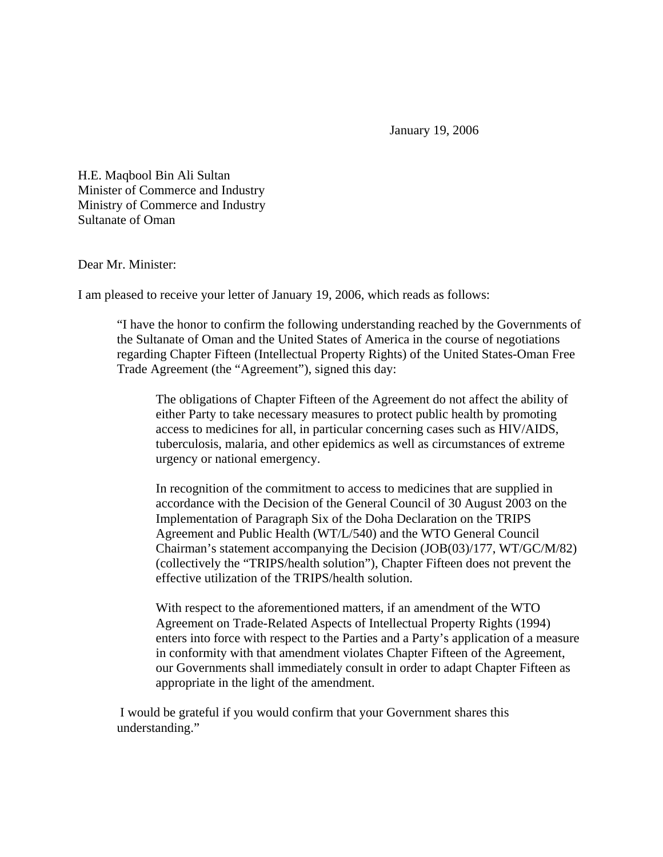January 19, 2006

H.E. Maqbool Bin Ali Sultan Minister of Commerce and Industry Ministry of Commerce and Industry Sultanate of Oman

## Dear Mr. Minister:

I am pleased to receive your letter of January 19, 2006, which reads as follows:

"I have the honor to confirm the following understanding reached by the Governments of the Sultanate of Oman and the United States of America in the course of negotiations regarding Chapter Fifteen (Intellectual Property Rights) of the United States-Oman Free Trade Agreement (the "Agreement"), signed this day:

The obligations of Chapter Fifteen of the Agreement do not affect the ability of either Party to take necessary measures to protect public health by promoting access to medicines for all, in particular concerning cases such as HIV/AIDS, tuberculosis, malaria, and other epidemics as well as circumstances of extreme urgency or national emergency.

In recognition of the commitment to access to medicines that are supplied in accordance with the Decision of the General Council of 30 August 2003 on the Implementation of Paragraph Six of the Doha Declaration on the TRIPS Agreement and Public Health (WT/L/540) and the WTO General Council Chairman's statement accompanying the Decision (JOB(03)/177, WT/GC/M/82) (collectively the "TRIPS/health solution"), Chapter Fifteen does not prevent the effective utilization of the TRIPS/health solution.

With respect to the aforementioned matters, if an amendment of the WTO Agreement on Trade-Related Aspects of Intellectual Property Rights (1994) enters into force with respect to the Parties and a Party's application of a measure in conformity with that amendment violates Chapter Fifteen of the Agreement, our Governments shall immediately consult in order to adapt Chapter Fifteen as appropriate in the light of the amendment.

 I would be grateful if you would confirm that your Government shares this understanding."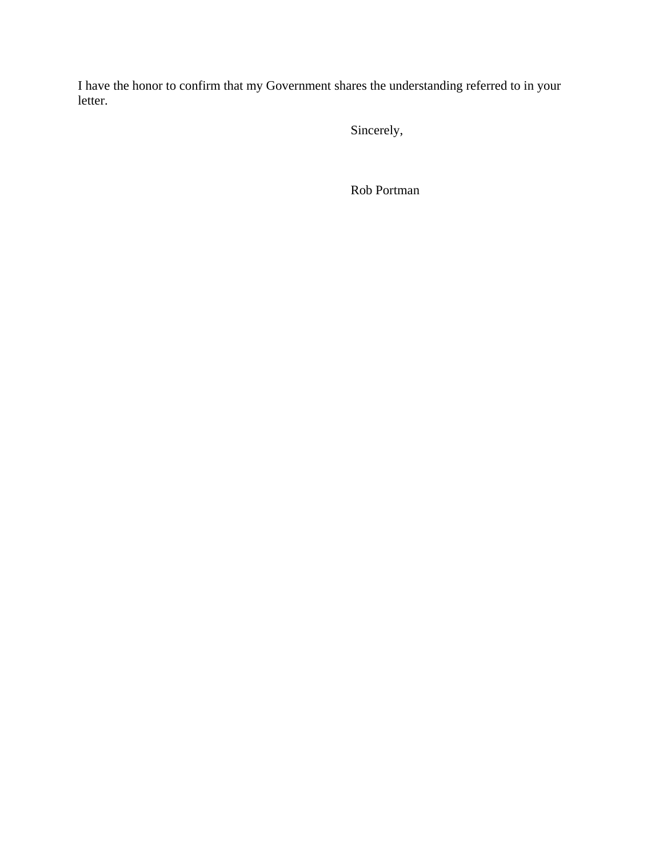I have the honor to confirm that my Government shares the understanding referred to in your letter.

Sincerely,

Rob Portman